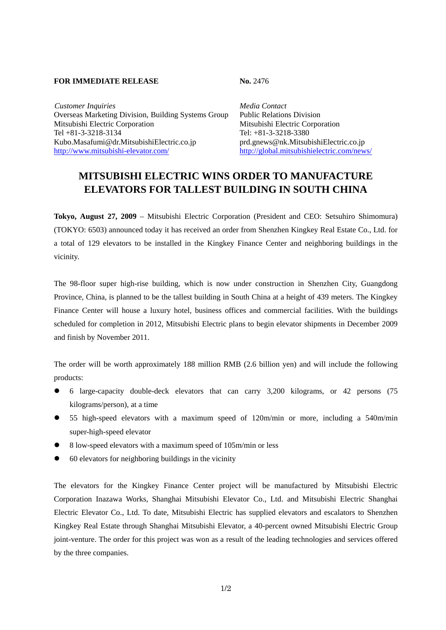## **FOR IMMEDIATE RELEASE No. 2476**

*Customer Inquiries Media Contact* Overseas Marketing Division, Building Systems Group Public Relations Division Mitsubishi Electric Corporation Mitsubishi Electric Corporation Tel +81-3-3218-3134 Tel: +81-3-3218-3380 Kubo.Masafumi@dr.MitsubishiElectric.co.jp prd.gnews@nk.MitsubishiElectric.co.jp http://www.mitsubishi-elevator.com/ http://global.mitsubishielectric.com/news/

## **MITSUBISHI ELECTRIC WINS ORDER TO MANUFACTURE ELEVATORS FOR TALLEST BUILDING IN SOUTH CHINA**

**Tokyo, August 27, 2009** – Mitsubishi Electric Corporation (President and CEO: Setsuhiro Shimomura) (TOKYO: 6503) announced today it has received an order from Shenzhen Kingkey Real Estate Co., Ltd. for a total of 129 elevators to be installed in the Kingkey Finance Center and neighboring buildings in the vicinity.

The 98-floor super high-rise building, which is now under construction in Shenzhen City, Guangdong Province, China, is planned to be the tallest building in South China at a height of 439 meters. The Kingkey Finance Center will house a luxury hotel, business offices and commercial facilities. With the buildings scheduled for completion in 2012, Mitsubishi Electric plans to begin elevator shipments in December 2009 and finish by November 2011.

The order will be worth approximately 188 million RMB (2.6 billion yen) and will include the following products:

- z 6 large-capacity double-deck elevators that can carry 3,200 kilograms, or 42 persons (75 kilograms/person), at a time
- 55 high-speed elevators with a maximum speed of 120m/min or more, including a 540m/min super-high-speed elevator
- z 8 low-speed elevators with a maximum speed of 105m/min or less
- $\bullet$  60 elevators for neighboring buildings in the vicinity

The elevators for the Kingkey Finance Center project will be manufactured by Mitsubishi Electric Corporation Inazawa Works, Shanghai Mitsubishi Elevator Co., Ltd. and Mitsubishi Electric Shanghai Electric Elevator Co., Ltd. To date, Mitsubishi Electric has supplied elevators and escalators to Shenzhen Kingkey Real Estate through Shanghai Mitsubishi Elevator, a 40-percent owned Mitsubishi Electric Group joint-venture. The order for this project was won as a result of the leading technologies and services offered by the three companies.